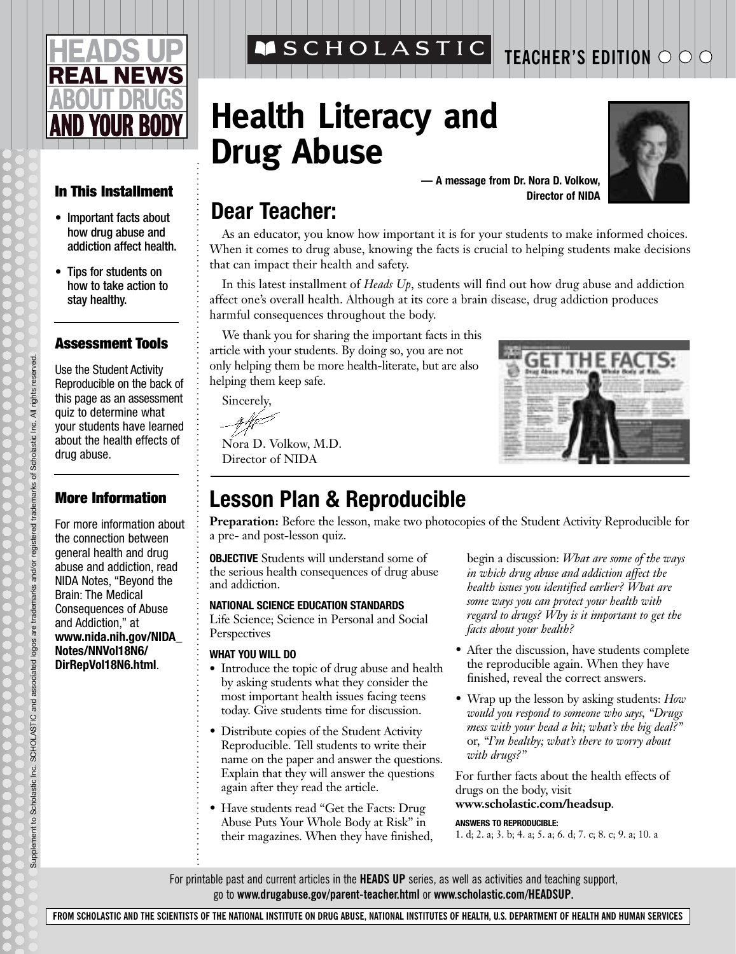# **NEWS D YOUR BOD**

#### **In This Installment**

- Important facts about how drug abuse and addiction affect health.
- Tips for students on how to take action to stay healthy.

#### **Assessment Tools**

Use the Student Activity Reproducible on the back of this page as an assessment quiz to determine what your students have learned about the health effects of drug abuse.

#### **More Information**

For more information about the connection between general health and drug abuse and addiction, read NIDA Notes, "Beyond the Brain: The Medical Consequences of Abuse and Addiction," at **www.nida.nih.gov/NIDA\_ Notes/NNVol18N6/ DirRepVol18N6.html**.

Supplement to Scholastic Inc. SCHOLASTIC and associated logos are trademarks and/or registered trademarks of Scholastic Inc. All rights reserved.

Supplement to Scholastic Inc. SCHOLASTIC and associated logos are trademarks and/or registered trademarks of Scholastic Inc. All rights reserved.

**MSCHOLASTIC** 

# **Health Literacy and Drug Abuse**

**— A message from Dr. Nora D. Volkow, Director of NIDA**

### **Dear Teacher:**

As an educator, you know how important it is for your students to make informed choices. When it comes to drug abuse, knowing the facts is crucial to helping students make decisions that can impact their health and safety.

In this latest installment of *Heads Up*, students will find out how drug abuse and addiction affect one's overall health. Although at its core a brain disease, drug addiction produces harmful consequences throughout the body.

We thank you for sharing the important facts in this article with your students. By doing so, you are not only helping them be more health-literate, but are also helping them keep safe.

Sincerely,

Nora D. Volkow, M.D. Director of NIDA

### **Lesson Plan & Reproducible**

**Preparation:** Before the lesson, make two photocopies of the Student Activity Reproducible for a pre- and post-lesson quiz.

**OBJECTIVE** Students will understand some of the serious health consequences of drug abuse and addiction.

#### **NATIONAL SCIENCE EDUCATION STANDARDS**

Life Science; Science in Personal and Social Perspectives

#### **WHAT YOU WILL DO**

- **•** Introduce the topic of drug abuse and health by asking students what they consider the most important health issues facing teens today. Give students time for discussion.
- Distribute copies of the Student Activity Reproducible. Tell students to write their name on the paper and answer the questions. Explain that they will answer the questions again after they read the article.
- Have students read "Get the Facts: Drug Abuse Puts Your Whole Body at Risk" in their magazines. When they have finished,

begin a discussion: *What are some of the ways in which drug abuse and addiction affect the health issues you identified earlier? What are some ways you can protect your health with regard to drugs? Why is it important to get the facts about your health?*

- After the discussion, have students complete the reproducible again. When they have finished, reveal the correct answers.
- Wrap up the lesson by asking students: *How would you respond to someone who says, "Drugs mess with your head a bit; what's the big deal?"* or, *"I'm healthy; what's there to worry about with drugs?"*

For further facts about the health effects of drugs on the body, visit **www.scholastic.com/headsup**.

#### **ANSWERS TO REPRODUCIBLE:**

1. d; 2. a; 3. b; 4. a; 5. a; 6. d; 7. c; 8. c; 9. a; 10. a

For printable past and current articles in the **HEADS UP** series, as well as activities and teaching support, go to **www.drugabuse.gov/parent-teacher.html** or **www.scholastic.com/HEADSUP.**